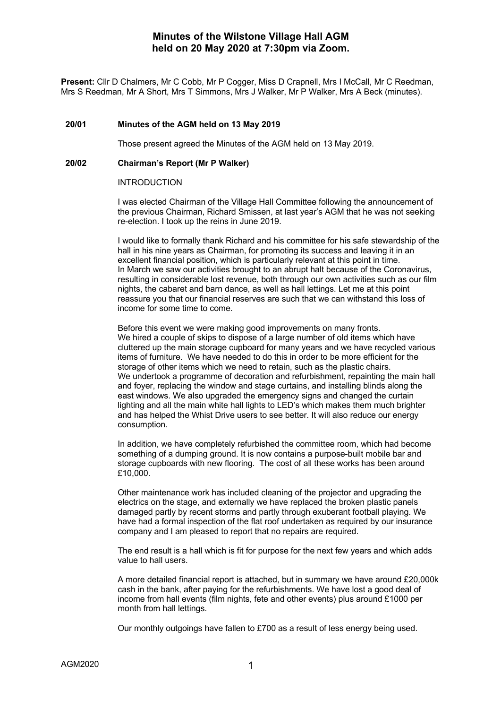Present: Cllr D Chalmers, Mr C Cobb, Mr P Cogger, Miss D Crapnell, Mrs I McCall, Mr C Reedman, Mrs S Reedman, Mr A Short, Mrs T Simmons, Mrs J Walker, Mr P Walker, Mrs A Beck (minutes).

## **20/01 Minutes of the AGM held on 13 May 2019**

Those present agreed the Minutes of the AGM held on 13 May 2019.

## **20/02 Chairman's Report (Mr P Walker)**

## INTRODUCTION

I was elected Chairman of the Village Hall Committee following the announcement of the previous Chairman, Richard Smissen, at last year's AGM that he was not seeking re-election. I took up the reins in June 2019.

I would like to formally thank Richard and his committee for his safe stewardship of the hall in his nine years as Chairman, for promoting its success and leaving it in an excellent financial position, which is particularly relevant at this point in time. In March we saw our activities brought to an abrupt halt because of the Coronavirus, resulting in considerable lost revenue, both through our own activities such as our film nights, the cabaret and barn dance, as well as hall lettings. Let me at this point reassure you that our financial reserves are such that we can withstand this loss of income for some time to come.

Before this event we were making good improvements on many fronts. We hired a couple of skips to dispose of a large number of old items which have cluttered up the main storage cupboard for many years and we have recycled various items of furniture. We have needed to do this in order to be more efficient for the storage of other items which we need to retain, such as the plastic chairs. We undertook a programme of decoration and refurbishment, repainting the main hall and foyer, replacing the window and stage curtains, and installing blinds along the east windows. We also upgraded the emergency signs and changed the curtain lighting and all the main white hall lights to LED's which makes them much brighter and has helped the Whist Drive users to see better. It will also reduce our energy consumption.

In addition, we have completely refurbished the committee room, which had become something of a dumping ground. It is now contains a purpose-built mobile bar and storage cupboards with new flooring. The cost of all these works has been around £10,000.

Other maintenance work has included cleaning of the projector and upgrading the electrics on the stage, and externally we have replaced the broken plastic panels damaged partly by recent storms and partly through exuberant football playing. We have had a formal inspection of the flat roof undertaken as required by our insurance company and I am pleased to report that no repairs are required.

The end result is a hall which is fit for purpose for the next few years and which adds value to hall users.

A more detailed financial report is attached, but in summary we have around £20,000k cash in the bank, after paying for the refurbishments. We have lost a good deal of income from hall events (film nights, fete and other events) plus around £1000 per month from hall lettings.

Our monthly outgoings have fallen to £700 as a result of less energy being used.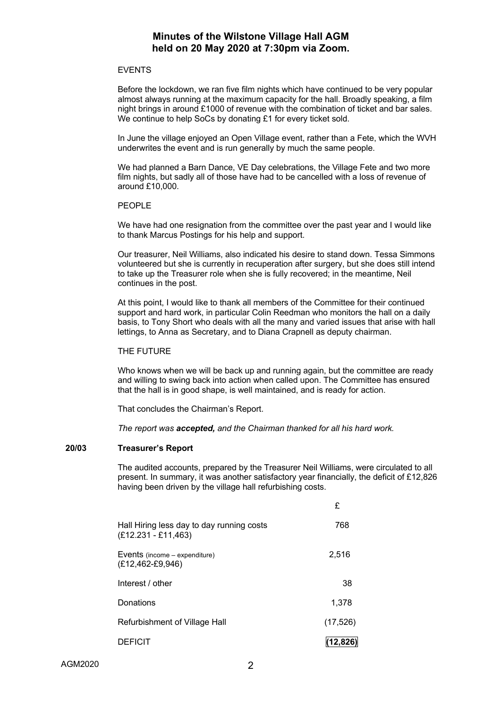## EVENTS

Before the lockdown, we ran five film nights which have continued to be very popular almost always running at the maximum capacity for the hall. Broadly speaking, a film night brings in around £1000 of revenue with the combination of ticket and bar sales. We continue to help SoCs by donating £1 for every ticket sold.

In June the village enjoyed an Open Village event, rather than a Fete, which the WVH underwrites the event and is run generally by much the same people.

We had planned a Barn Dance, VE Day celebrations, the Village Fete and two more film nights, but sadly all of those have had to be cancelled with a loss of revenue of around £10,000.

## PEOPLE

We have had one resignation from the committee over the past year and I would like to thank Marcus Postings for his help and support.

Our treasurer, Neil Williams, also indicated his desire to stand down. Tessa Simmons volunteered but she is currently in recuperation after surgery, but she does still intend to take up the Treasurer role when she is fully recovered; in the meantime, Neil continues in the post.

At this point, I would like to thank all members of the Committee for their continued support and hard work, in particular Colin Reedman who monitors the hall on a daily basis, to Tony Short who deals with all the many and varied issues that arise with hall lettings, to Anna as Secretary, and to Diana Crapnell as deputy chairman.

## THE FUTURE

Who knows when we will be back up and running again, but the committee are ready and willing to swing back into action when called upon. The Committee has ensured that the hall is in good shape, is well maintained, and is ready for action.

That concludes the Chairman's Report.

*The report was accepted, and the Chairman thanked for all his hard work.*

## **20/03 Treasurer's Report**

The audited accounts, prepared by the Treasurer Neil Williams, were circulated to all present. In summary, it was another satisfactory year financially, the deficit of £12,826 having been driven by the village hall refurbishing costs.

|                                                                    | £        |
|--------------------------------------------------------------------|----------|
| Hall Hiring less day to day running costs<br>$(E12.231 - E11,463)$ | 768      |
| Events (income – expenditure)<br>$(E12, 462 - E9, 946)$            | 2.516    |
| Interest / other                                                   | 38       |
| Donations                                                          | 1,378    |
| Refurbishment of Village Hall                                      | (17,526) |
| <b>DEFICIT</b>                                                     | (12,826) |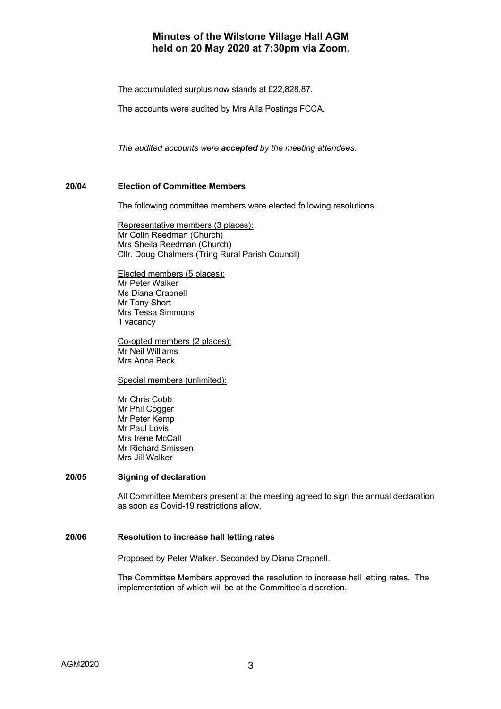The accumulated surplus now stands at £22,828.87.

The accounts were audited by Mrs Alla Postings FCCA.

*The audited accounts were accepted by the meeting attendees.*

## **20/04 Election of Committee Members**

The following committee members were elected following resolutions.

Representative members (3 places): Mr Colin Reedman (Church) Mrs Sheila Reedman (Church) Cllr. Doug Chalmers (Tring Rural Parish Council)

Elected members (5 places): Mr Peter Walker Ms Diana Crapnell Mr Tony Short Mrs Tessa Simmons 1 vacancy

Co-opted members (2 places): Mr Neil Williams Mrs Anna Beck

Special members (unlimited):

Mr Chris Cobb Mr Phil Cogger Mr Peter Kemp Mr Paul Lovis Mrs Irene McCall Mr Richard Smissen Mrs Jill Walker

## **20/05 Signing of declaration**

All Committee Members present at the meeting agreed to sign the annual declaration as soon as Covid-19 restrictions allow.

#### **20/06 Resolution to increase hall letting rates**

Proposed by Peter Walker. Seconded by Diana Crapnell.

The Committee Members approved the resolution to increase hall letting rates. The implementation of which will be at the Committee's discretion.